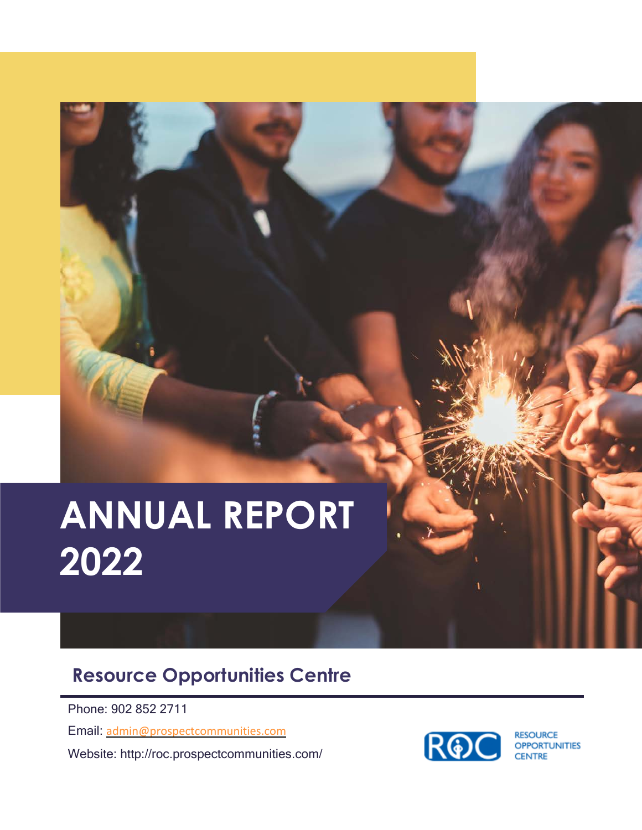# **ANNUAL REPORT 2022**

## **Resource Opportunities Centre**

Phone: 902 852 2711

Email: admin@prospectcommunities.com

Website: http://roc.prospectcommunities.com/



**RESOURCE OPPORTUNITIES CENTRE**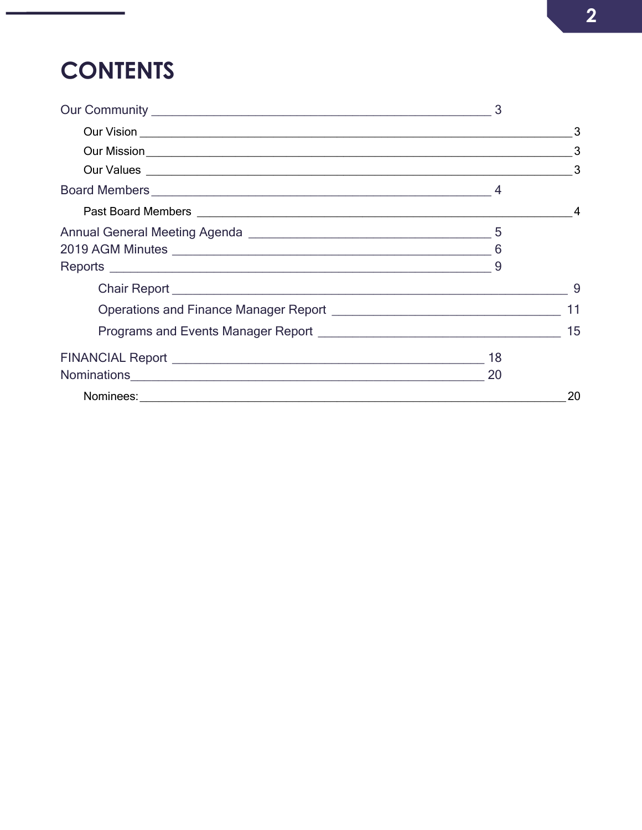## **CONTENTS**

|                                                                                                                                                                                                                                     |           | 3            |
|-------------------------------------------------------------------------------------------------------------------------------------------------------------------------------------------------------------------------------------|-----------|--------------|
|                                                                                                                                                                                                                                     |           | 3            |
| Our Values <u>experience</u> and the contract of the contract of the contract of the contract of the contract of the contract of the contract of the contract of the contract of the contract of the contract of the contract of th |           | $\mathbf{3}$ |
|                                                                                                                                                                                                                                     |           |              |
|                                                                                                                                                                                                                                     |           |              |
|                                                                                                                                                                                                                                     |           |              |
|                                                                                                                                                                                                                                     |           |              |
|                                                                                                                                                                                                                                     |           |              |
|                                                                                                                                                                                                                                     |           | 9            |
|                                                                                                                                                                                                                                     |           | 11           |
|                                                                                                                                                                                                                                     |           | 15           |
|                                                                                                                                                                                                                                     |           |              |
|                                                                                                                                                                                                                                     | <b>20</b> |              |
| Nominees: <u>www.communications.communications.com</u>                                                                                                                                                                              |           | 20           |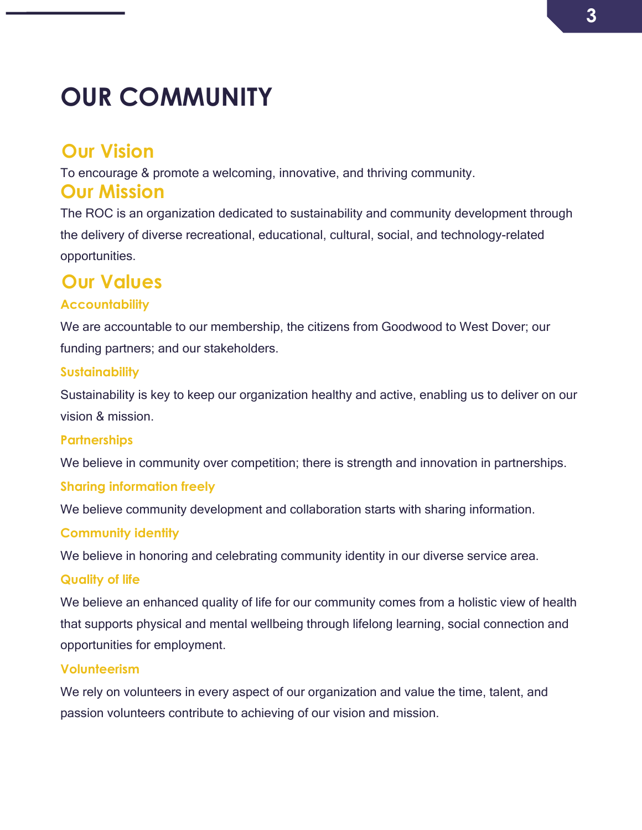## **OUR COMMUNITY**

### **Our Vision**

To encourage & promote a welcoming, innovative, and thriving community.

### **Our Mission**

The ROC is an organization dedicated to sustainability and community development through the delivery of diverse recreational, educational, cultural, social, and technology-related opportunities.

### **Our Values**

#### **Accountability**

We are accountable to our membership, the citizens from Goodwood to West Dover; our funding partners; and our stakeholders.

#### **Sustainability**

Sustainability is key to keep our organization healthy and active, enabling us to deliver on our vision & mission.

#### **Partnerships**

We believe in community over competition; there is strength and innovation in partnerships.

#### **Sharing information freely**

We believe community development and collaboration starts with sharing information.

#### **Community identity**

We believe in honoring and celebrating community identity in our diverse service area.

#### **Quality of life**

We believe an enhanced quality of life for our community comes from a holistic view of health that supports physical and mental wellbeing through lifelong learning, social connection and opportunities for employment.

#### **Volunteerism**

We rely on volunteers in every aspect of our organization and value the time, talent, and passion volunteers contribute to achieving of our vision and mission.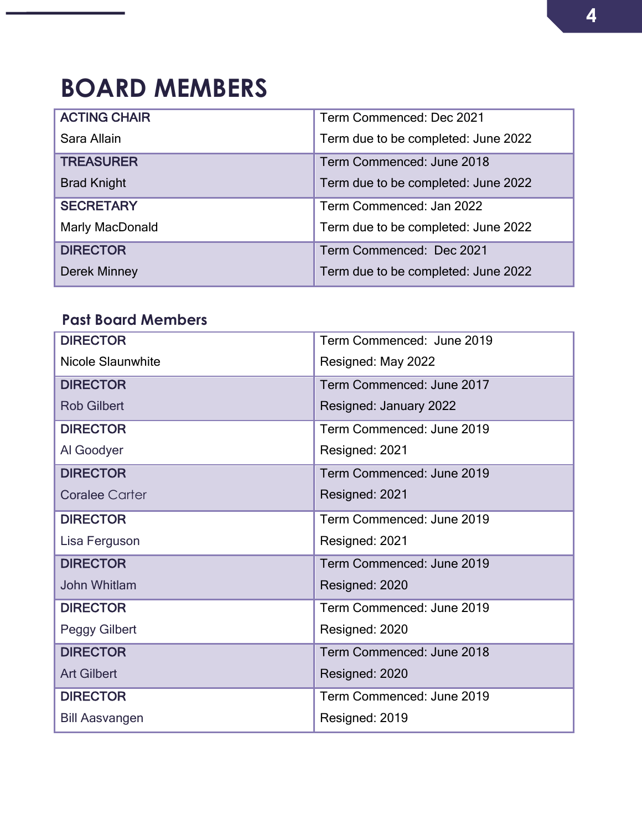## **BOARD MEMBERS**

| <b>ACTING CHAIR</b> | Term Commenced: Dec 2021            |
|---------------------|-------------------------------------|
| Sara Allain         | Term due to be completed: June 2022 |
| <b>TREASURER</b>    | Term Commenced: June 2018           |
| <b>Brad Knight</b>  | Term due to be completed: June 2022 |
| <b>SECRETARY</b>    | Term Commenced: Jan 2022            |
| Marly MacDonald     | Term due to be completed: June 2022 |
| <b>DIRECTOR</b>     | Term Commenced: Dec 2021            |
| Derek Minney        | Term due to be completed: June 2022 |

### **Past Board Members**

| <b>DIRECTOR</b>          | Term Commenced: June 2019 |
|--------------------------|---------------------------|
| <b>Nicole Slaunwhite</b> | Resigned: May 2022        |
| <b>DIRECTOR</b>          | Term Commenced: June 2017 |
| <b>Rob Gilbert</b>       | Resigned: January 2022    |
| <b>DIRECTOR</b>          | Term Commenced: June 2019 |
| Al Goodyer               | Resigned: 2021            |
| <b>DIRECTOR</b>          | Term Commenced: June 2019 |
| <b>Coralee Carter</b>    | Resigned: 2021            |
| <b>DIRECTOR</b>          | Term Commenced: June 2019 |
| Lisa Ferguson            | Resigned: 2021            |
| <b>DIRECTOR</b>          | Term Commenced: June 2019 |
| John Whitlam             | Resigned: 2020            |
| <b>DIRECTOR</b>          | Term Commenced: June 2019 |
| <b>Peggy Gilbert</b>     | Resigned: 2020            |
| <b>DIRECTOR</b>          | Term Commenced: June 2018 |
| <b>Art Gilbert</b>       | Resigned: 2020            |
| <b>DIRECTOR</b>          | Term Commenced: June 2019 |
| <b>Bill Aasvangen</b>    | Resigned: 2019            |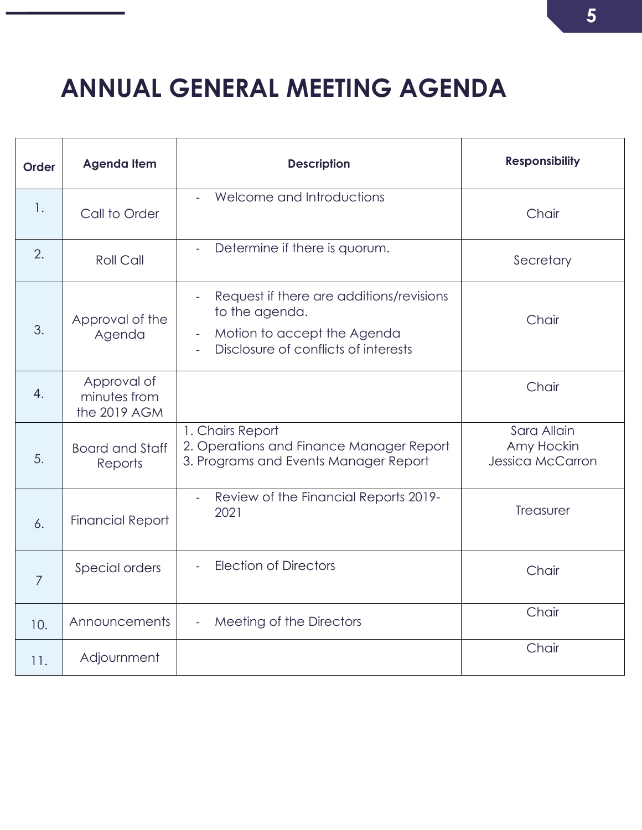## **ANNUAL GENERAL MEETING AGENDA**

| <b>Order</b>     | <b>Agenda Item</b>                          | <b>Description</b>                                                                                                                                                              | <b>Responsibility</b>                         |
|------------------|---------------------------------------------|---------------------------------------------------------------------------------------------------------------------------------------------------------------------------------|-----------------------------------------------|
| $\mathbf{1}$ .   | Call to Order                               | Welcome and Introductions<br>$\equiv$                                                                                                                                           | Chair                                         |
| 2.               | <b>Roll Call</b>                            | Determine if there is quorum.<br>$\overline{\phantom{a}}$                                                                                                                       | Secretary                                     |
| 3.               | Approval of the<br>Agenda                   | Request if there are additions/revisions<br>to the agenda.<br>Motion to accept the Agenda<br>$\blacksquare$<br>Disclosure of conflicts of interests<br>$\overline{\phantom{a}}$ | Chair                                         |
| $\overline{4}$ . | Approval of<br>minutes from<br>the 2019 AGM |                                                                                                                                                                                 | Chair                                         |
| 5.               | <b>Board and Staff</b><br>Reports           | 1. Chairs Report<br>2. Operations and Finance Manager Report<br>3. Programs and Events Manager Report                                                                           | Sara Allain<br>Amy Hockin<br>Jessica McCarron |
| 6.               | <b>Financial Report</b>                     | Review of the Financial Reports 2019-<br>$\Box$<br>2021                                                                                                                         | Treasurer                                     |
| $\overline{7}$   | Special orders                              | <b>Election of Directors</b>                                                                                                                                                    | Chair                                         |
| 10.              | Announcements                               | Meeting of the Directors<br>$\overline{\phantom{a}}$                                                                                                                            | Chair                                         |
| 11.              | Adjournment                                 |                                                                                                                                                                                 | Chair                                         |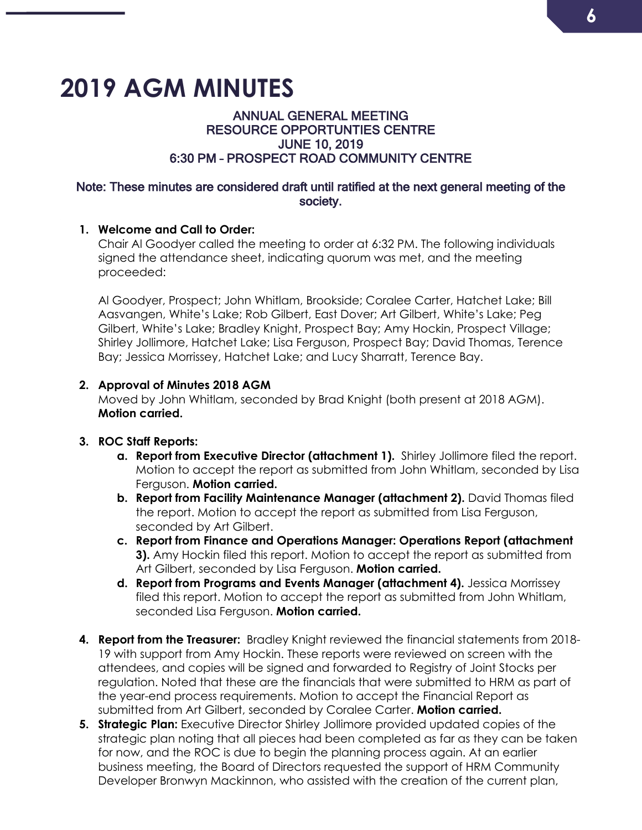## **2019 AGM MINUTES**

#### ANNUAL GENERAL MEETING RESOURCE OPPORTUNTIES CENTRE JUNE 10, 2019 6:30 PM – PROSPECT ROAD COMMUNITY CENTRE

#### Note: These minutes are considered draft until ratified at the next general meeting of the society.

#### **1. Welcome and Call to Order:**

Chair Al Goodyer called the meeting to order at 6:32 PM. The following individuals signed the attendance sheet, indicating quorum was met, and the meeting proceeded:

Al Goodyer, Prospect; John Whitlam, Brookside; Coralee Carter, Hatchet Lake; Bill Aasvangen, White's Lake; Rob Gilbert, East Dover; Art Gilbert, White's Lake; Peg Gilbert, White's Lake; Bradley Knight, Prospect Bay; Amy Hockin, Prospect Village; Shirley Jollimore, Hatchet Lake; Lisa Ferguson, Prospect Bay; David Thomas, Terence Bay; Jessica Morrissey, Hatchet Lake; and Lucy Sharratt, Terence Bay.

#### **2. Approval of Minutes 2018 AGM**

Moved by John Whitlam, seconded by Brad Knight (both present at 2018 AGM). **Motion carried.**

#### **3. ROC Staff Reports:**

- **a. Report from Executive Director (attachment 1).** Shirley Jollimore filed the report. Motion to accept the report as submitted from John Whitlam, seconded by Lisa Ferguson. **Motion carried.**
- **b. Report from Facility Maintenance Manager (attachment 2).** David Thomas filed the report. Motion to accept the report as submitted from Lisa Ferguson, seconded by Art Gilbert.
- **c. Report from Finance and Operations Manager: Operations Report (attachment 3).** Amy Hockin filed this report. Motion to accept the report as submitted from Art Gilbert, seconded by Lisa Ferguson. **Motion carried.**
- **d. Report from Programs and Events Manager (attachment 4).** Jessica Morrissey filed this report. Motion to accept the report as submitted from John Whitlam, seconded Lisa Ferguson. **Motion carried.**
- **4. Report from the Treasurer:** Bradley Knight reviewed the financial statements from 2018- 19 with support from Amy Hockin. These reports were reviewed on screen with the attendees, and copies will be signed and forwarded to Registry of Joint Stocks per regulation. Noted that these are the financials that were submitted to HRM as part of the year-end process requirements. Motion to accept the Financial Report as submitted from Art Gilbert, seconded by Coralee Carter. **Motion carried.**
- **5. Strategic Plan:** Executive Director Shirley Jollimore provided updated copies of the strategic plan noting that all pieces had been completed as far as they can be taken for now, and the ROC is due to begin the planning process again. At an earlier business meeting, the Board of Directors requested the support of HRM Community Developer Bronwyn Mackinnon, who assisted with the creation of the current plan,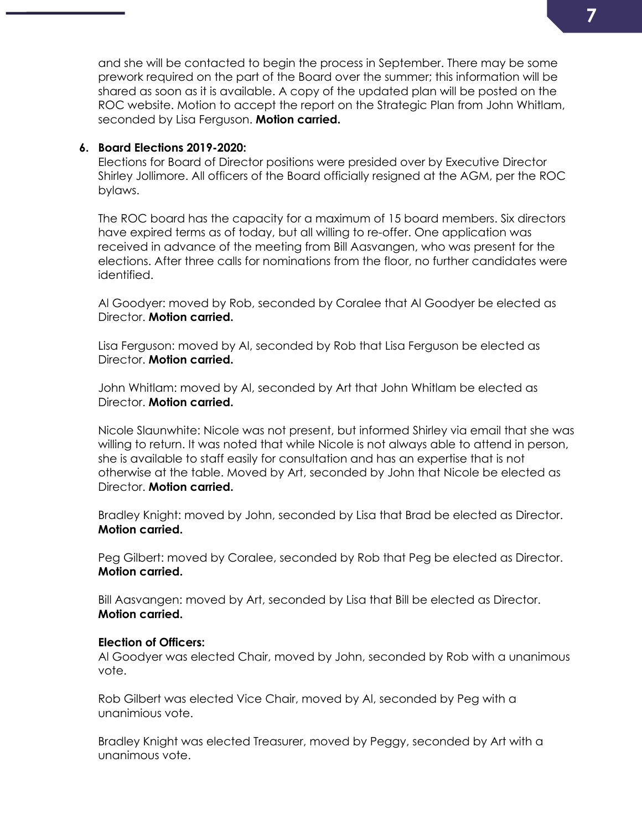and she will be contacted to begin the process in September. There may be some prework required on the part of the Board over the summer; this information will be shared as soon as it is available. A copy of the updated plan will be posted on the ROC website. Motion to accept the report on the Strategic Plan from John Whitlam, seconded by Lisa Ferguson. **Motion carried.**

#### **6. Board Elections 2019-2020:**

Elections for Board of Director positions were presided over by Executive Director Shirley Jollimore. All officers of the Board officially resigned at the AGM, per the ROC bylaws.

The ROC board has the capacity for a maximum of 15 board members. Six directors have expired terms as of today, but all willing to re-offer. One application was received in advance of the meeting from Bill Aasvangen, who was present for the elections. After three calls for nominations from the floor, no further candidates were identified.

Al Goodyer: moved by Rob, seconded by Coralee that Al Goodyer be elected as Director. **Motion carried.**

Lisa Ferguson: moved by Al, seconded by Rob that Lisa Ferguson be elected as Director. **Motion carried.** 

John Whitlam: moved by Al, seconded by Art that John Whitlam be elected as Director. **Motion carried.** 

Nicole Slaunwhite: Nicole was not present, but informed Shirley via email that she was willing to return. It was noted that while Nicole is not always able to attend in person, she is available to staff easily for consultation and has an expertise that is not otherwise at the table. Moved by Art, seconded by John that Nicole be elected as Director. **Motion carried.** 

Bradley Knight: moved by John, seconded by Lisa that Brad be elected as Director. **Motion carried.** 

Peg Gilbert: moved by Coralee, seconded by Rob that Peg be elected as Director. **Motion carried.** 

Bill Aasvangen: moved by Art, seconded by Lisa that Bill be elected as Director. **Motion carried.** 

#### **Election of Officers:**

Al Goodyer was elected Chair, moved by John, seconded by Rob with a unanimous vote.

Rob Gilbert was elected Vice Chair, moved by Al, seconded by Peg with a unanimious vote.

Bradley Knight was elected Treasurer, moved by Peggy, seconded by Art with a unanimous vote.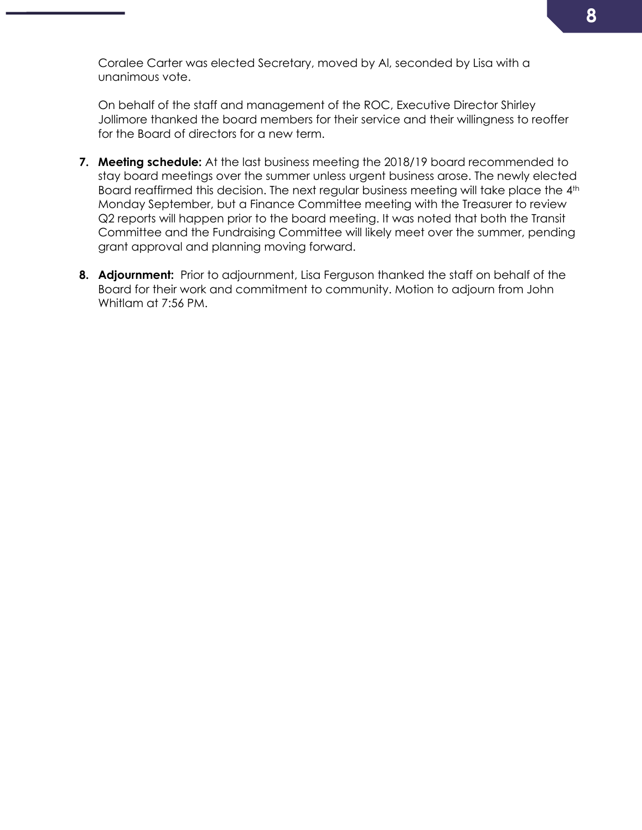Coralee Carter was elected Secretary, moved by Al, seconded by Lisa with a unanimous vote.

On behalf of the staff and management of the ROC, Executive Director Shirley Jollimore thanked the board members for their service and their willingness to reoffer for the Board of directors for a new term.

- **7. Meeting schedule:** At the last business meeting the 2018/19 board recommended to stay board meetings over the summer unless urgent business arose. The newly elected Board reaffirmed this decision. The next regular business meeting will take place the 4<sup>th</sup> Monday September, but a Finance Committee meeting with the Treasurer to review Q2 reports will happen prior to the board meeting. It was noted that both the Transit Committee and the Fundraising Committee will likely meet over the summer, pending grant approval and planning moving forward.
- **8. Adjournment:** Prior to adjournment, Lisa Ferguson thanked the staff on behalf of the Board for their work and commitment to community. Motion to adjourn from John Whitlam at 7:56 PM.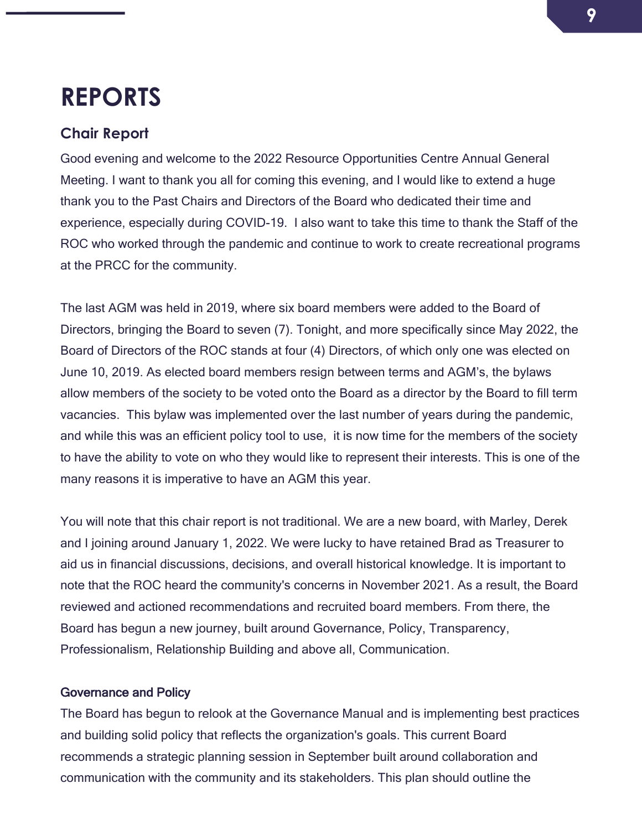## **REPORTS**

#### **Chair Report**

Good evening and welcome to the 2022 Resource Opportunities Centre Annual General Meeting. I want to thank you all for coming this evening, and I would like to extend a huge thank you to the Past Chairs and Directors of the Board who dedicated their time and experience, especially during COVID-19. I also want to take this time to thank the Staff of the ROC who worked through the pandemic and continue to work to create recreational programs at the PRCC for the community.

The last AGM was held in 2019, where six board members were added to the Board of Directors, bringing the Board to seven (7). Tonight, and more specifically since May 2022, the Board of Directors of the ROC stands at four (4) Directors, of which only one was elected on June 10, 2019. As elected board members resign between terms and AGM's, the bylaws allow members of the society to be voted onto the Board as a director by the Board to fill term vacancies. This bylaw was implemented over the last number of years during the pandemic, and while this was an efficient policy tool to use, it is now time for the members of the society to have the ability to vote on who they would like to represent their interests. This is one of the many reasons it is imperative to have an AGM this year.

You will note that this chair report is not traditional. We are a new board, with Marley, Derek and I joining around January 1, 2022. We were lucky to have retained Brad as Treasurer to aid us in financial discussions, decisions, and overall historical knowledge. It is important to note that the ROC heard the community's concerns in November 2021. As a result, the Board reviewed and actioned recommendations and recruited board members. From there, the Board has begun a new journey, built around Governance, Policy, Transparency, Professionalism, Relationship Building and above all, Communication.

#### Governance and Policy

The Board has begun to relook at the Governance Manual and is implementing best practices and building solid policy that reflects the organization's goals. This current Board recommends a strategic planning session in September built around collaboration and communication with the community and its stakeholders. This plan should outline the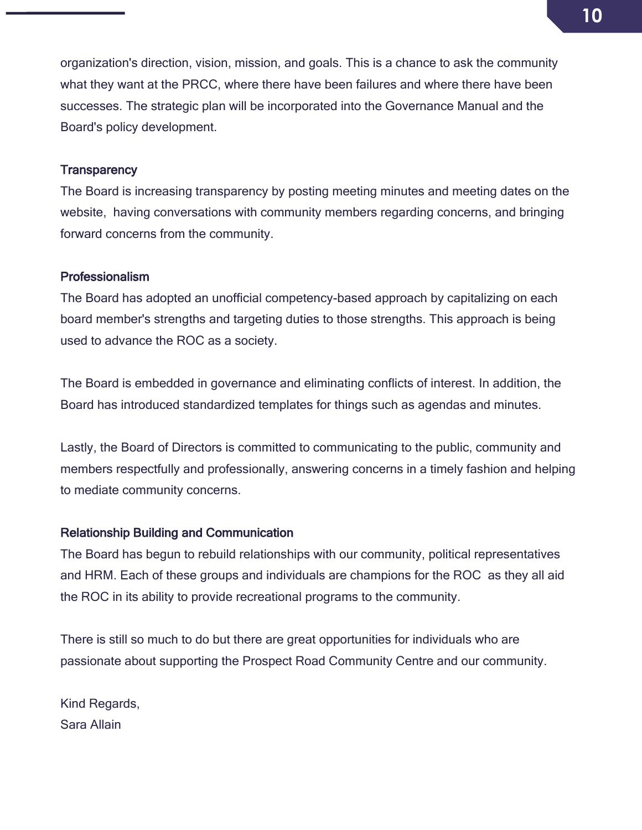organization's direction, vision, mission, and goals. This is a chance to ask the community what they want at the PRCC, where there have been failures and where there have been successes. The strategic plan will be incorporated into the Governance Manual and the Board's policy development.

#### **Transparency**

The Board is increasing transparency by posting meeting minutes and meeting dates on the website, having conversations with community members regarding concerns, and bringing forward concerns from the community.

#### **Professionalism**

The Board has adopted an unofficial competency-based approach by capitalizing on each board member's strengths and targeting duties to those strengths. This approach is being used to advance the ROC as a society.

The Board is embedded in governance and eliminating conflicts of interest. In addition, the Board has introduced standardized templates for things such as agendas and minutes.

Lastly, the Board of Directors is committed to communicating to the public, community and members respectfully and professionally, answering concerns in a timely fashion and helping to mediate community concerns.

#### Relationship Building and Communication

The Board has begun to rebuild relationships with our community, political representatives and HRM. Each of these groups and individuals are champions for the ROC as they all aid the ROC in its ability to provide recreational programs to the community.

There is still so much to do but there are great opportunities for individuals who are passionate about supporting the Prospect Road Community Centre and our community.

Kind Regards, Sara Allain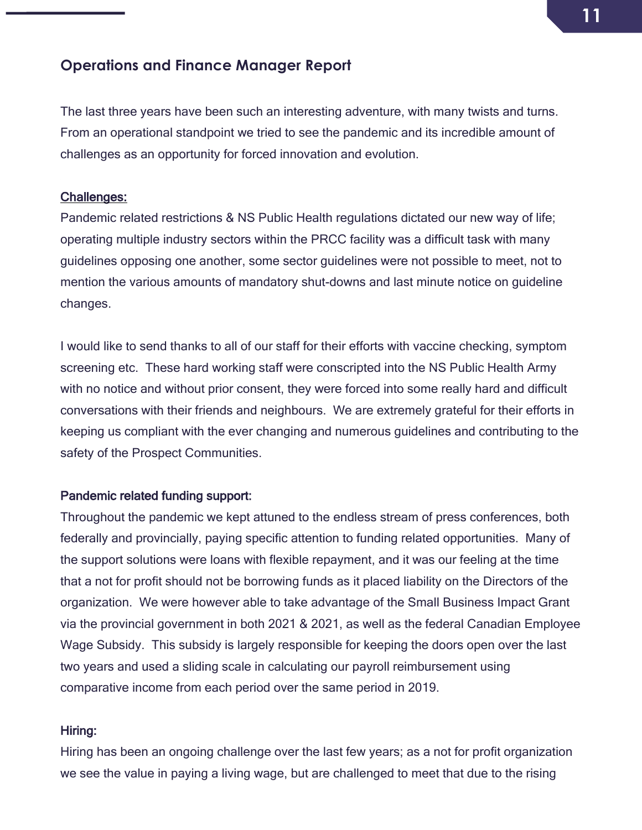#### **Operations and Finance Manager Report**

The last three years have been such an interesting adventure, with many twists and turns. From an operational standpoint we tried to see the pandemic and its incredible amount of challenges as an opportunity for forced innovation and evolution.

#### Challenges:

Pandemic related restrictions & NS Public Health regulations dictated our new way of life; operating multiple industry sectors within the PRCC facility was a difficult task with many guidelines opposing one another, some sector guidelines were not possible to meet, not to mention the various amounts of mandatory shut-downs and last minute notice on guideline changes.

I would like to send thanks to all of our staff for their efforts with vaccine checking, symptom screening etc. These hard working staff were conscripted into the NS Public Health Army with no notice and without prior consent, they were forced into some really hard and difficult conversations with their friends and neighbours. We are extremely grateful for their efforts in keeping us compliant with the ever changing and numerous guidelines and contributing to the safety of the Prospect Communities.

#### Pandemic related funding support:

Throughout the pandemic we kept attuned to the endless stream of press conferences, both federally and provincially, paying specific attention to funding related opportunities. Many of the support solutions were loans with flexible repayment, and it was our feeling at the time that a not for profit should not be borrowing funds as it placed liability on the Directors of the organization. We were however able to take advantage of the Small Business Impact Grant via the provincial government in both 2021 & 2021, as well as the federal Canadian Employee Wage Subsidy. This subsidy is largely responsible for keeping the doors open over the last two years and used a sliding scale in calculating our payroll reimbursement using comparative income from each period over the same period in 2019.

#### Hiring:

Hiring has been an ongoing challenge over the last few years; as a not for profit organization we see the value in paying a living wage, but are challenged to meet that due to the rising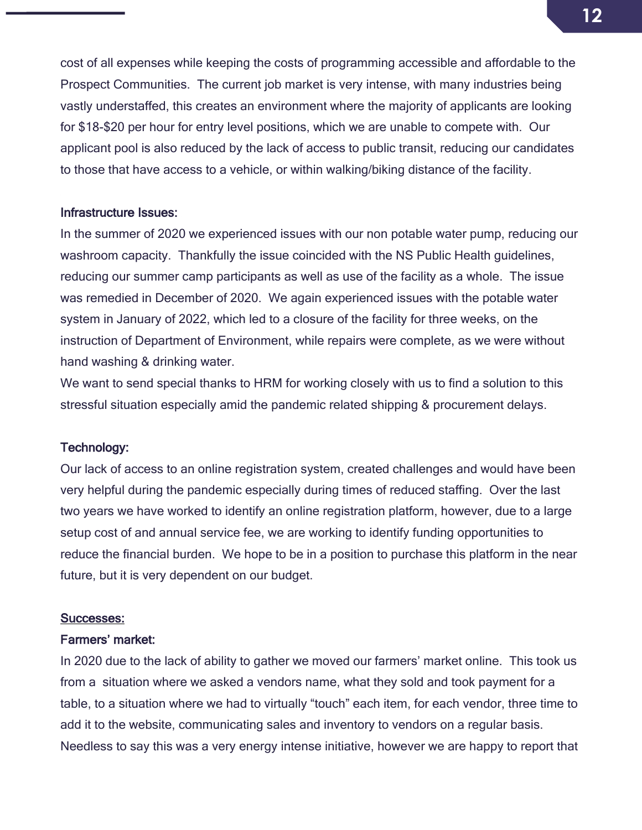cost of all expenses while keeping the costs of programming accessible and affordable to the Prospect Communities. The current job market is very intense, with many industries being vastly understaffed, this creates an environment where the majority of applicants are looking for \$18-\$20 per hour for entry level positions, which we are unable to compete with. Our applicant pool is also reduced by the lack of access to public transit, reducing our candidates to those that have access to a vehicle, or within walking/biking distance of the facility.

#### Infrastructure Issues:

In the summer of 2020 we experienced issues with our non potable water pump, reducing our washroom capacity. Thankfully the issue coincided with the NS Public Health guidelines, reducing our summer camp participants as well as use of the facility as a whole. The issue was remedied in December of 2020. We again experienced issues with the potable water system in January of 2022, which led to a closure of the facility for three weeks, on the instruction of Department of Environment, while repairs were complete, as we were without hand washing & drinking water.

We want to send special thanks to HRM for working closely with us to find a solution to this stressful situation especially amid the pandemic related shipping & procurement delays.

#### Technology:

Our lack of access to an online registration system, created challenges and would have been very helpful during the pandemic especially during times of reduced staffing. Over the last two years we have worked to identify an online registration platform, however, due to a large setup cost of and annual service fee, we are working to identify funding opportunities to reduce the financial burden. We hope to be in a position to purchase this platform in the near future, but it is very dependent on our budget.

#### Successes:

#### Farmers' market:

In 2020 due to the lack of ability to gather we moved our farmers' market online. This took us from a situation where we asked a vendors name, what they sold and took payment for a table, to a situation where we had to virtually "touch" each item, for each vendor, three time to add it to the website, communicating sales and inventory to vendors on a regular basis. Needless to say this was a very energy intense initiative, however we are happy to report that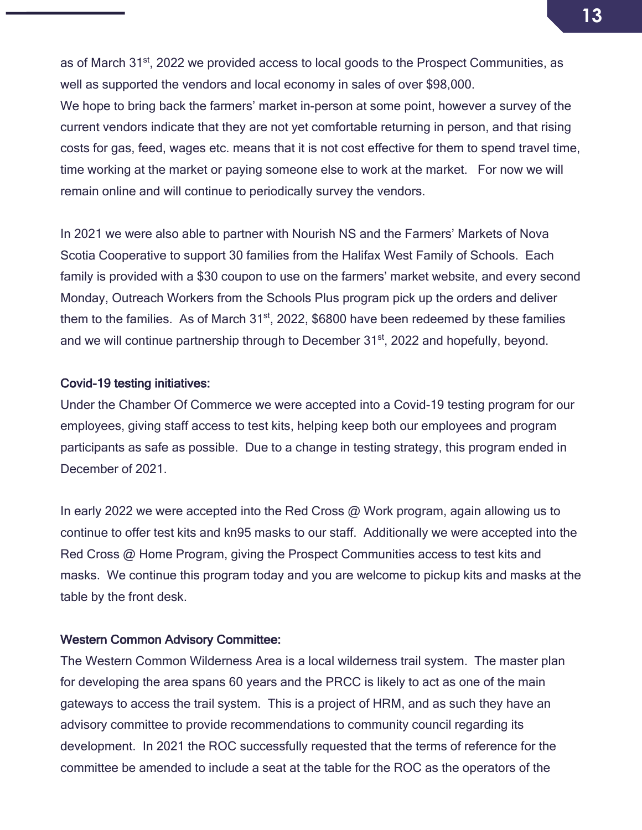as of March 31<sup>st</sup>, 2022 we provided access to local goods to the Prospect Communities, as well as supported the vendors and local economy in sales of over \$98,000.

We hope to bring back the farmers' market in-person at some point, however a survey of the current vendors indicate that they are not yet comfortable returning in person, and that rising costs for gas, feed, wages etc. means that it is not cost effective for them to spend travel time, time working at the market or paying someone else to work at the market. For now we will remain online and will continue to periodically survey the vendors.

In 2021 we were also able to partner with Nourish NS and the Farmers' Markets of Nova Scotia Cooperative to support 30 families from the Halifax West Family of Schools. Each family is provided with a \$30 coupon to use on the farmers' market website, and every second Monday, Outreach Workers from the Schools Plus program pick up the orders and deliver them to the families. As of March  $31<sup>st</sup>$ , 2022, \$6800 have been redeemed by these families and we will continue partnership through to December 31<sup>st</sup>, 2022 and hopefully, beyond.

#### Covid-19 testing initiatives:

Under the Chamber Of Commerce we were accepted into a Covid-19 testing program for our employees, giving staff access to test kits, helping keep both our employees and program participants as safe as possible. Due to a change in testing strategy, this program ended in December of 2021.

In early 2022 we were accepted into the Red Cross @ Work program, again allowing us to continue to offer test kits and kn95 masks to our staff. Additionally we were accepted into the Red Cross @ Home Program, giving the Prospect Communities access to test kits and masks. We continue this program today and you are welcome to pickup kits and masks at the table by the front desk.

#### Western Common Advisory Committee:

The Western Common Wilderness Area is a local wilderness trail system. The master plan for developing the area spans 60 years and the PRCC is likely to act as one of the main gateways to access the trail system. This is a project of HRM, and as such they have an advisory committee to provide recommendations to community council regarding its development. In 2021 the ROC successfully requested that the terms of reference for the committee be amended to include a seat at the table for the ROC as the operators of the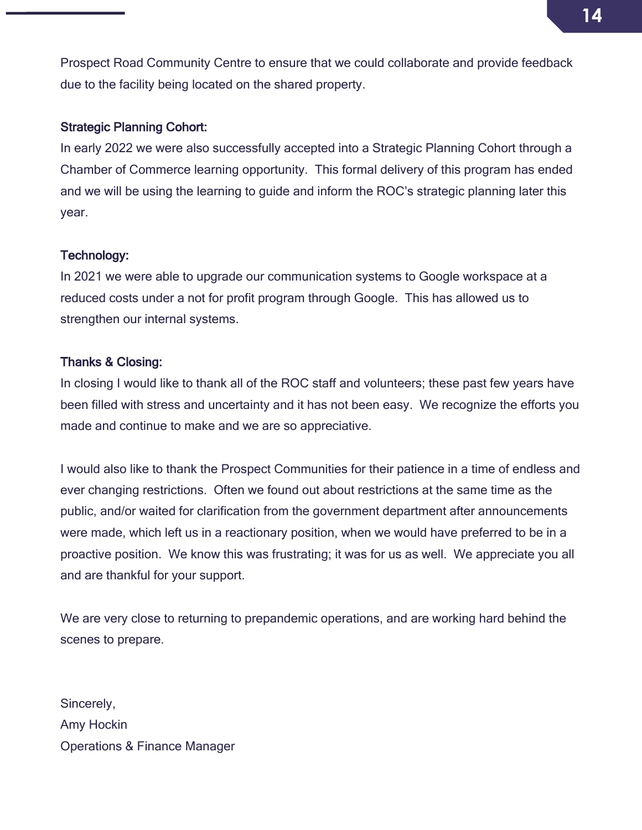Prospect Road Community Centre to ensure that we could collaborate and provide feedback due to the facility being located on the shared property.

#### Strategic Planning Cohort:

In early 2022 we were also successfully accepted into a Strategic Planning Cohort through a Chamber of Commerce learning opportunity. This formal delivery of this program has ended and we will be using the learning to guide and inform the ROC's strategic planning later this year.

#### Technology:

In 2021 we were able to upgrade our communication systems to Google workspace at a reduced costs under a not for profit program through Google. This has allowed us to strengthen our internal systems.

#### Thanks & Closing:

In closing I would like to thank all of the ROC staff and volunteers; these past few years have been filled with stress and uncertainty and it has not been easy. We recognize the efforts you made and continue to make and we are so appreciative.

I would also like to thank the Prospect Communities for their patience in a time of endless and ever changing restrictions. Often we found out about restrictions at the same time as the public, and/or waited for clarification from the government department after announcements were made, which left us in a reactionary position, when we would have preferred to be in a proactive position. We know this was frustrating; it was for us as well. We appreciate you all and are thankful for your support.

We are very close to returning to prepandemic operations, and are working hard behind the scenes to prepare.

Sincerely, Amy Hockin Operations & Finance Manager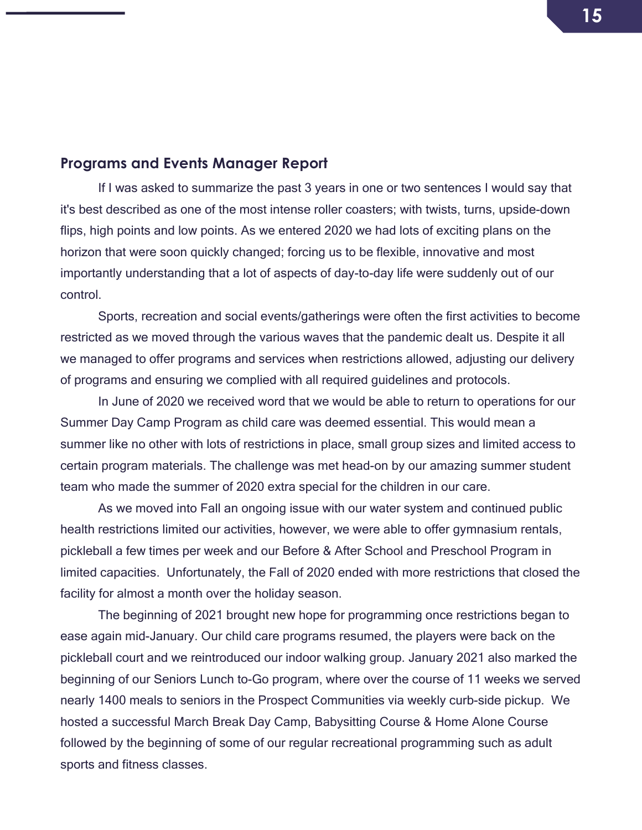#### **Programs and Events Manager Report**

If I was asked to summarize the past 3 years in one or two sentences I would say that it's best described as one of the most intense roller coasters; with twists, turns, upside-down flips, high points and low points. As we entered 2020 we had lots of exciting plans on the horizon that were soon quickly changed; forcing us to be flexible, innovative and most importantly understanding that a lot of aspects of day-to-day life were suddenly out of our control.

Sports, recreation and social events/gatherings were often the first activities to become restricted as we moved through the various waves that the pandemic dealt us. Despite it all we managed to offer programs and services when restrictions allowed, adjusting our delivery of programs and ensuring we complied with all required guidelines and protocols.

In June of 2020 we received word that we would be able to return to operations for our Summer Day Camp Program as child care was deemed essential. This would mean a summer like no other with lots of restrictions in place, small group sizes and limited access to certain program materials. The challenge was met head-on by our amazing summer student team who made the summer of 2020 extra special for the children in our care.

As we moved into Fall an ongoing issue with our water system and continued public health restrictions limited our activities, however, we were able to offer gymnasium rentals, pickleball a few times per week and our Before & After School and Preschool Program in limited capacities. Unfortunately, the Fall of 2020 ended with more restrictions that closed the facility for almost a month over the holiday season.

The beginning of 2021 brought new hope for programming once restrictions began to ease again mid-January. Our child care programs resumed, the players were back on the pickleball court and we reintroduced our indoor walking group. January 2021 also marked the beginning of our Seniors Lunch to-Go program, where over the course of 11 weeks we served nearly 1400 meals to seniors in the Prospect Communities via weekly curb-side pickup. We hosted a successful March Break Day Camp, Babysitting Course & Home Alone Course followed by the beginning of some of our regular recreational programming such as adult sports and fitness classes.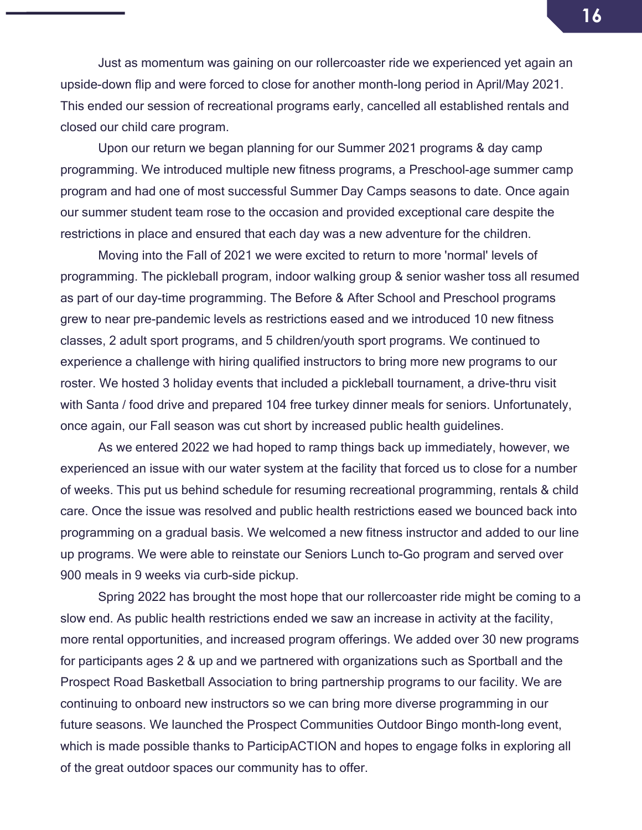Just as momentum was gaining on our rollercoaster ride we experienced yet again an upside-down flip and were forced to close for another month-long period in April/May 2021. This ended our session of recreational programs early, cancelled all established rentals and closed our child care program.

Upon our return we began planning for our Summer 2021 programs & day camp programming. We introduced multiple new fitness programs, a Preschool-age summer camp program and had one of most successful Summer Day Camps seasons to date. Once again our summer student team rose to the occasion and provided exceptional care despite the restrictions in place and ensured that each day was a new adventure for the children.

Moving into the Fall of 2021 we were excited to return to more 'normal' levels of programming. The pickleball program, indoor walking group & senior washer toss all resumed as part of our day-time programming. The Before & After School and Preschool programs grew to near pre-pandemic levels as restrictions eased and we introduced 10 new fitness classes, 2 adult sport programs, and 5 children/youth sport programs. We continued to experience a challenge with hiring qualified instructors to bring more new programs to our roster. We hosted 3 holiday events that included a pickleball tournament, a drive-thru visit with Santa / food drive and prepared 104 free turkey dinner meals for seniors. Unfortunately, once again, our Fall season was cut short by increased public health guidelines.

As we entered 2022 we had hoped to ramp things back up immediately, however, we experienced an issue with our water system at the facility that forced us to close for a number of weeks. This put us behind schedule for resuming recreational programming, rentals & child care. Once the issue was resolved and public health restrictions eased we bounced back into programming on a gradual basis. We welcomed a new fitness instructor and added to our line up programs. We were able to reinstate our Seniors Lunch to-Go program and served over 900 meals in 9 weeks via curb-side pickup.

Spring 2022 has brought the most hope that our rollercoaster ride might be coming to a slow end. As public health restrictions ended we saw an increase in activity at the facility, more rental opportunities, and increased program offerings. We added over 30 new programs for participants ages 2 & up and we partnered with organizations such as Sportball and the Prospect Road Basketball Association to bring partnership programs to our facility. We are continuing to onboard new instructors so we can bring more diverse programming in our future seasons. We launched the Prospect Communities Outdoor Bingo month-long event, which is made possible thanks to ParticipACTION and hopes to engage folks in exploring all of the great outdoor spaces our community has to offer.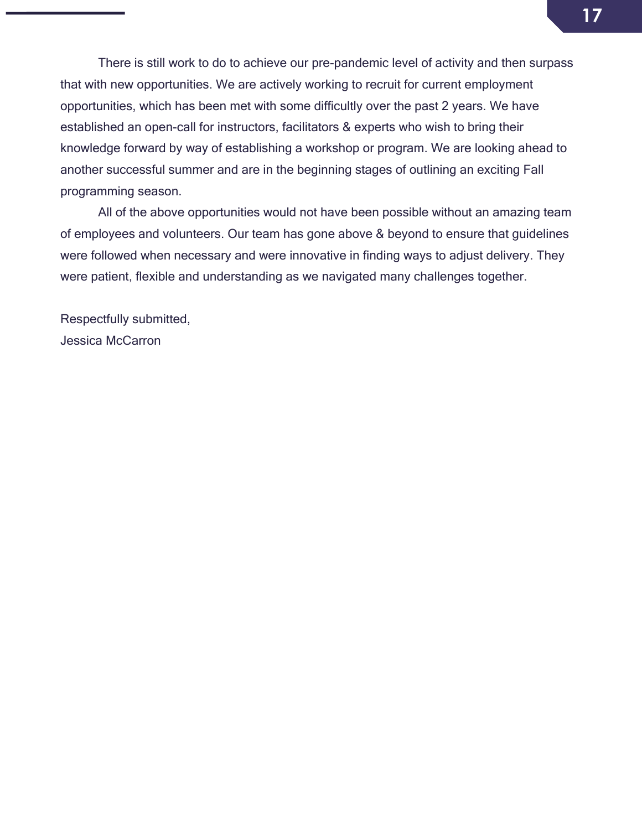There is still work to do to achieve our pre-pandemic level of activity and then surpass that with new opportunities. We are actively working to recruit for current employment opportunities, which has been met with some difficultly over the past 2 years. We have established an open-call for instructors, facilitators & experts who wish to bring their knowledge forward by way of establishing a workshop or program. We are looking ahead to another successful summer and are in the beginning stages of outlining an exciting Fall programming season.

All of the above opportunities would not have been possible without an amazing team of employees and volunteers. Our team has gone above & beyond to ensure that guidelines were followed when necessary and were innovative in finding ways to adjust delivery. They were patient, flexible and understanding as we navigated many challenges together.

Respectfully submitted, Jessica McCarron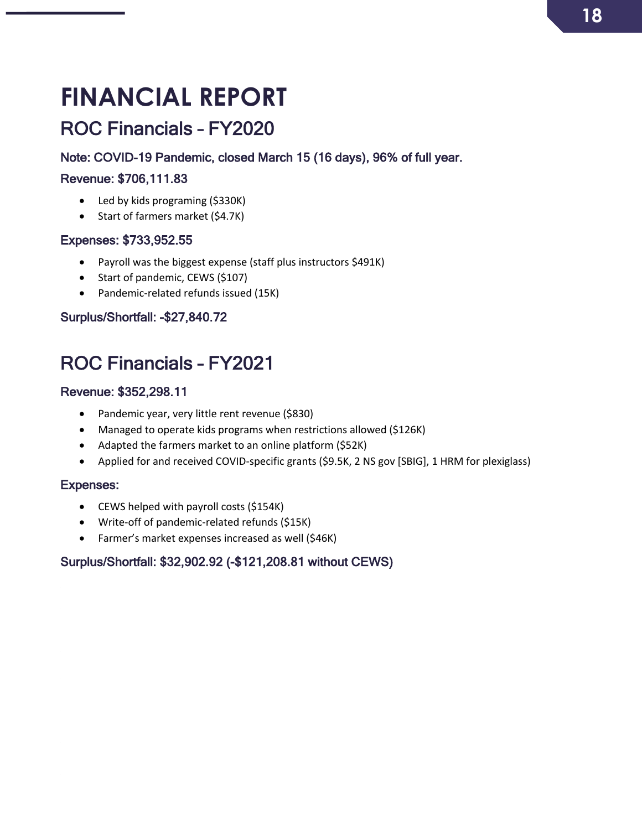## **FINANCIAL REPORT**

### ROC Financials – FY2020

#### Note: COVID-19 Pandemic, closed March 15 (16 days), 96% of full year.

#### Revenue: \$706,111.83

- Led by kids programing (\$330K)
- Start of farmers market (\$4.7K)

#### Expenses: \$733,952.55

- Payroll was the biggest expense (staff plus instructors \$491K)
- Start of pandemic, CEWS (\$107)
- Pandemic-related refunds issued (15K)

#### Surplus/Shortfall: -\$27,840.72

### ROC Financials – FY2021

#### Revenue: \$352,298.11

- Pandemic year, very little rent revenue (\$830)
- Managed to operate kids programs when restrictions allowed (\$126K)
- Adapted the farmers market to an online platform (\$52K)
- Applied for and received COVID-specific grants (\$9.5K, 2 NS gov [SBIG], 1 HRM for plexiglass)

#### Expenses:

- CEWS helped with payroll costs (\$154K)
- Write-off of pandemic-related refunds (\$15K)
- Farmer's market expenses increased as well (\$46K)

#### Surplus/Shortfall: \$32,902.92 (-\$121,208.81 without CEWS)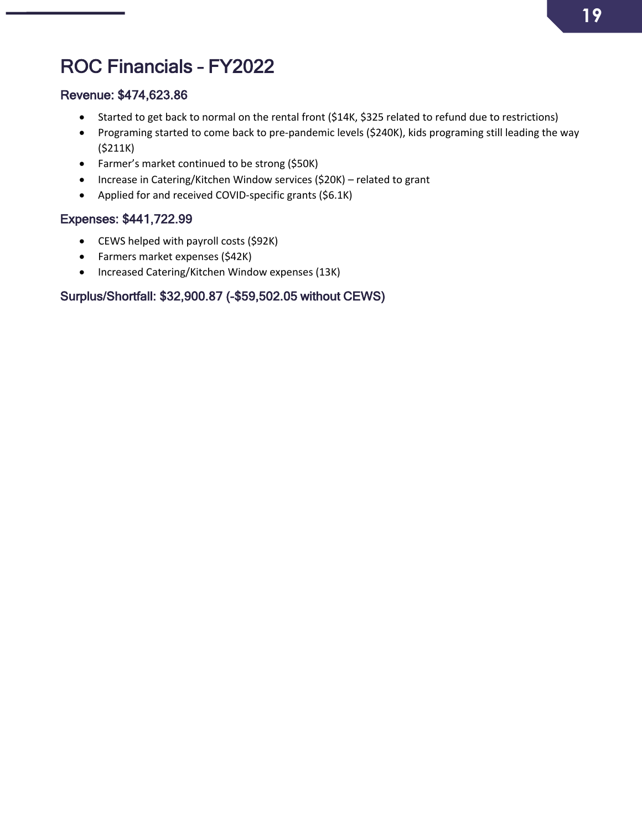### ROC Financials – FY2022

#### Revenue: \$474,623.86

- Started to get back to normal on the rental front (\$14K, \$325 related to refund due to restrictions)
- Programing started to come back to pre-pandemic levels (\$240K), kids programing still leading the way (\$211K)
- Farmer's market continued to be strong (\$50K)
- Increase in Catering/Kitchen Window services (\$20K) related to grant
- Applied for and received COVID-specific grants (\$6.1K)

#### Expenses: \$441,722.99

- CEWS helped with payroll costs (\$92K)
- Farmers market expenses (\$42K)
- Increased Catering/Kitchen Window expenses (13K)

#### Surplus/Shortfall: \$32,900.87 (-\$59,502.05 without CEWS)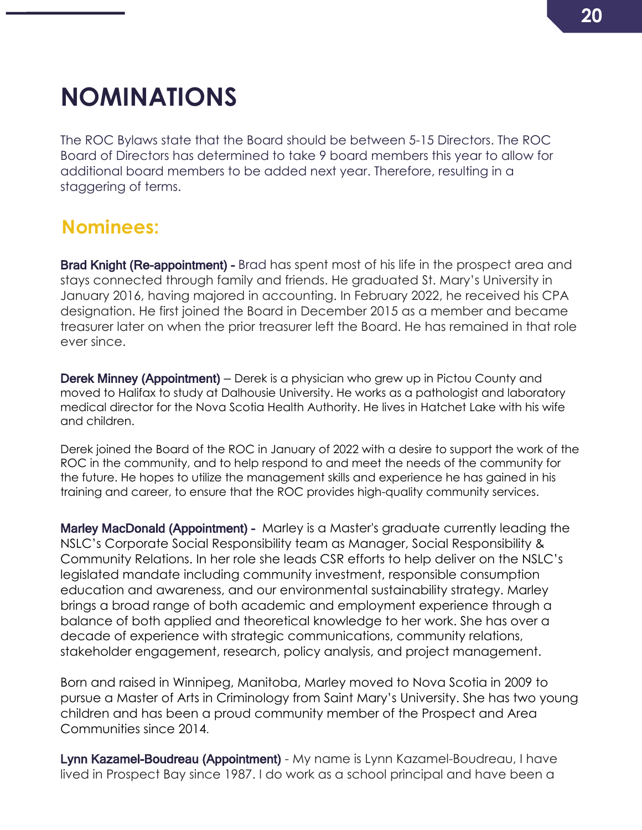## **NOMINATIONS**

The ROC Bylaws state that the Board should be between 5-15 Directors. The ROC Board of Directors has determined to take 9 board members this year to allow for additional board members to be added next year. Therefore, resulting in a staggering of terms.

### **Nominees:**

**Brad Knight (Re-appointment) -** Brad has spent most of his life in the prospect area and stays connected through family and friends. He graduated St. Mary's University in January 2016, having majored in accounting. In February 2022, he received his CPA designation. He first joined the Board in December 2015 as a member and became treasurer later on when the prior treasurer left the Board. He has remained in that role ever since.

**Derek Minney (Appointment)** – Derek is a physician who grew up in Pictou County and moved to Halifax to study at Dalhousie University. He works as a pathologist and laboratory medical director for the Nova Scotia Health Authority. He lives in Hatchet Lake with his wife and children.

Derek joined the Board of the ROC in January of 2022 with a desire to support the work of the ROC in the community, and to help respond to and meet the needs of the community for the future. He hopes to utilize the management skills and experience he has gained in his training and career, to ensure that the ROC provides high-quality community services.

Marley MacDonald (Appointment) - Marley is a Master's graduate currently leading the NSLC's Corporate Social Responsibility team as Manager, Social Responsibility & Community Relations. In her role she leads CSR efforts to help deliver on the NSLC's legislated mandate including community investment, responsible consumption education and awareness, and our environmental sustainability strategy. Marley brings a broad range of both academic and employment experience through a balance of both applied and theoretical knowledge to her work. She has over a decade of experience with strategic communications, community relations, stakeholder engagement, research, policy analysis, and project management.

Born and raised in Winnipeg, Manitoba, Marley moved to Nova Scotia in 2009 to pursue a Master of Arts in Criminology from Saint Mary's University. She has two young children and has been a proud community member of the Prospect and Area Communities since 2014.

Lynn Kazamel-Boudreau (Appointment) - My name is Lynn Kazamel-Boudreau, I have lived in Prospect Bay since 1987. I do work as a school principal and have been a